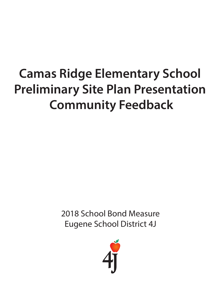# **Camas Ridge Elementary School Preliminary Site Plan Presentation Community Feedback**

2018 School Bond Measure Eugene School District 4J

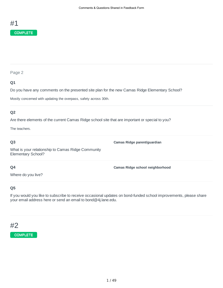

#### **Q1**

Do you have any comments on the presented site plan for the new Camas Ridge Elementary School?

Mostly concerned with updating the overpass, safety across 30th.

#### **Q2**

Are there elements of the current Camas Ridge school site that are important or special to you?

The teachers.

#### **Q3**

What is your relationship to Camas Ridge Community Elementary School?

#### **Q4**

Where do you live?

#### **Q5**

If you would you like to subscribe to receive occasional updates on bond-funded school improvements, please share your email address here or send an email to bond@4j.lane.edu.

**Camas Ridge parent/guardian**

**Camas Ridge school neighborhood**

### #2

#### COMPLETE

1 / 49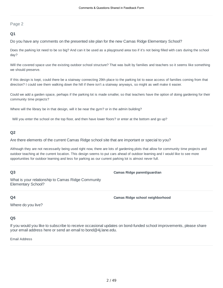#### **Q1**

Do you have any comments on the presented site plan for the new Camas Ridge Elementary School?

Does the parking lot need to be so big? And can it be used as a playground area too if it's not being filled with cars during the school day?

Will the covered space use the existing outdoor school structure? That was built by families and teachers so it seems like something we should preserve.

If this design is kept, could there be a stairway connecting 29th place to the parking lot to ease access of families coming from that direction? I could see them walking down the hill if there isn't a stairway anyways, so might as well make it easier.

Could we add a garden space, perhaps if the parking lot is made smaller, so that teachers have the option of doing gardening for their community time projects?

Where will the library be in that design, will it be near the gym? or in the admin building?

Will you enter the school on the top floor, and then have lower floors? or enter at the bottom and go up?

#### **Q2**

Are there elements of the current Camas Ridge school site that are important or special to you?

Although they are not necessarily being used right now, there are lots of gardening plots that allow for community time projects and outdoor teaching at the current location. This design seems to put cars ahead of outdoor learning and I would like to see more opportunities for outdoor learning and less for parking as our current parking lot is almost never full.

#### **Q3**

**Camas Ridge parent/guardian**

What is your relationship to Camas Ridge Community Elementary School?

#### **Q4**

**Camas Ridge school neighborhood**

Where do you live?

#### **Q5**

If you would you like to subscribe to receive occasional updates on bond-funded school improvements, please share your email address here or send an email to bond@4j.lane.edu.

Email Address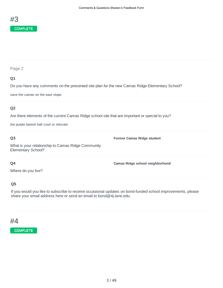

#### **Q1**

Do you have any comments on the presented site plan for the new Camas Ridge Elementary School?

save the camas on the east slope

#### **Q2**

Are there elements of the current Camas Ridge school site that are important or special to you?

the purple basket ball court or relocate

#### **Q3**

What is your relationship to Camas Ridge Community Elementary School?

**Former Camas Ridge student**

**Camas Ridge school neighborhood**

#### **Q4**

Where do you live?

#### **Q5**

If you would you like to subscribe to receive occasional updates on bond-funded school improvements, please share your email address here or send an email to bond@4j.lane.edu.

#### #4

#### **COMPLETE**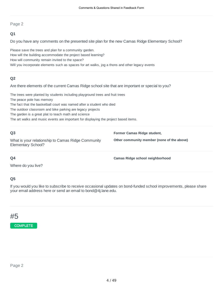#### **Q1**

Do you have any comments on the presented site plan for the new Camas Ridge Elementary School?

Please save the trees and plan for a community garden. How will the building accommodate the project based learning? How will community remain invited to the space? Will you incorporate elements such as spaces for art walks, jog a thons and other legacy events

#### **Q2**

Are there elements of the current Camas Ridge school site that are important or special to you?

The trees were planted by students including playground trees and fruit trees

The peace pole has memory

The fact that the basketball court was named after a student who died

The outdoor classroom and bike parking are legacy projects

The garden is a great plat to teach math and science

The art walks and music events are important for displaying the project based items.

| Q <sub>3</sub><br>What is your relationship to Camas Ridge Community<br>Elementary School? | Former Camas Ridge student,<br>Other community member (none of the above) |
|--------------------------------------------------------------------------------------------|---------------------------------------------------------------------------|
| Q4                                                                                         | Camas Ridge school neighborhood                                           |

Where do you live?

#### **Q5**

If you would you like to subscribe to receive occasional updates on bond-funded school improvements, please share your email address here or send an email to bond@4j.lane.edu.

# #5 **COMPLETE**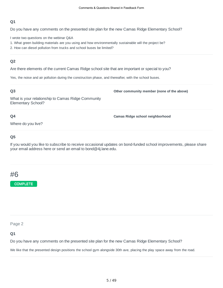Do you have any comments on the presented site plan for the new Camas Ridge Elementary School?

I wrote two questions on the webinar Q&A

- 1. What green building materials are you using and how environmentally sustainable will the project be?
- 2. How can diesel pollution from trucks and school buses be limited?

#### **Q2**

Are there elements of the current Camas Ridge school site that are important or special to you?

Yes, the noise and air pollution during the construction phase, and thereafter, with the school buses.

#### **Q3**

**Other community member (none of the above)**

What is your relationship to Camas Ridge Community Elementary School?

#### **Q4**

**Camas Ridge school neighborhood**

Where do you live?

#### **Q5**

If you would you like to subscribe to receive occasional updates on bond-funded school improvements, please share your email address here or send an email to bond@4j.lane.edu.

# #6

#### **COMPLETE**

Page 2

#### **Q1**

Do you have any comments on the presented site plan for the new Camas Ridge Elementary School?

We like that the presented design positions the school gym alongside 30th ave, placing the play space away from the road.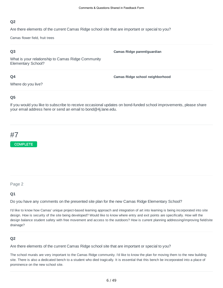Are there elements of the current Camas Ridge school site that are important or special to you?

Camas flower field, fruit trees

#### **Q3**

**Camas Ridge parent/guardian**

What is your relationship to Camas Ridge Community Elementary School?

#### **Q4**

Where do you live?

**Camas Ridge school neighborhood**

#### **Q5**

If you would you like to subscribe to receive occasional updates on bond-funded school improvements, please share your email address here or send an email to bond@4j.lane.edu.

# #7



#### Page 2

#### **Q1**

Do you have any comments on the presented site plan for the new Camas Ridge Elementary School?

I'd like to know how Camas' unique project-based learning approach and integration of art into learning is being incorporated into site design. How is security of the site being developed? Would like to know where entry and exit points are specifically. How will the design balance student safety with free movement and access to the outdoors? How is current planning addressing/improving field/site drainage?

#### **Q2**

Are there elements of the current Camas Ridge school site that are important or special to you?

The school murals are very important to the Camas Ridge community. I'd like to know the plan for moving them to the new building site. There is also a dedicated bench to a student who died tragically. It is essential that this bench be incorporated into a place of prominence on the new school site.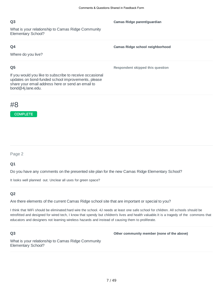**Camas Ridge parent/guardian**

**Camas Ridge school neighborhood**

**Respondent skipped this question**

#### **Q3**

What is your relationship to Camas Ridge Community Elementary School?

#### **Q4**

Where do you live?

#### **Q5**

If you would you like to subscribe to receive occasional updates on bond-funded school improvements, please share your email address here or send an email to bond@4j.lane.edu.

### #8

#### COMPLETE

Page 2

#### **Q1**

Do you have any comments on the presented site plan for the new Camas Ridge Elementary School?

It looks well planned out. Unclear all uses for green space?

#### **Q2**

Are there elements of the current Camas Ridge school site that are important or special to you?

I think that WiFi should be eliminated:hard wire the school. 4J needs at least one safe school for children. All schools should be retrofitted and designed for wired tech, I know that spendy but children's lives and health valuable.It is a tragedy of the commons that educators and designers not learning wireless hazards and instead of causing them to proliferate.

#### **Q3**

**Other community member (none of the above)**

What is your relationship to Camas Ridge Community Elementary School?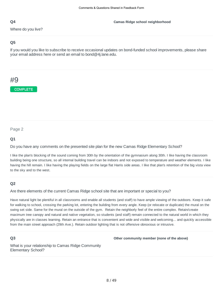Where do you live?

#### **Q5**

If you would you like to subscribe to receive occasional updates on bond-funded school improvements, please share your email address here or send an email to bond@4j.lane.edu.

# #9

COMPLETE

Page 2

#### **Q1**

Do you have any comments on the presented site plan for the new Camas Ridge Elementary School?

I like the plan's blocking of the sound coming from 30th by the orientation of the gymnasium along 30th. I like having the classroom building being one structure, so all internal building travel can be indoors and not exposed to temperature and weather elements. I like having the hill remain. I like having the playing fields on the large flat Harris side areas. I like that plan's retention of the big vista view to the sky and to the west.

#### **Q2**

Are there elements of the current Camas Ridge school site that are important or special to you?

Have natural light be plentiful in all classrooms and enable all students (and staff) to have ample viewing of the outdoors. Keep it safe for walking to school, crossing the parking lot, entering the building from every angle. Keep (or relocate or duplicate) the mural on the swing set side. Same for the mural on the outside of the gym. Retain the neighborly feel of the entire complex. Retain/create maximum tree canopy and natural and native vegetation, so students (and staff) remain connected to the natural world in which they physically are in classes learning. Retain an entrance that is convenient and wide and visible and welcoming... and quickly accessible from the main street approach (29th Ave.). Retain outdoor lighting that is not offensive obnoxious or intrusive.

#### **Q3**

**Other community member (none of the above)**

What is your relationship to Camas Ridge Community Elementary School?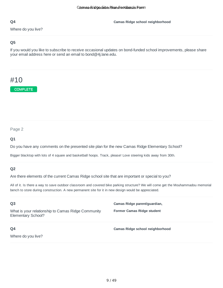Where do you live?

#### **Q5**

If you would you like to subscribe to receive occasional updates on bond-funded school improvements, please share your email address here or send an email to bond@4j.lane.edu.

# #10

**COMPLETE** 

#### Page 2

#### **Q1**

Do you have any comments on the presented site plan for the new Camas Ridge Elementary School?

Bigger blacktop with lots of 4 square and basketball hoops. Track, please! Love steering kids away from 30th.

#### **Q2**

Are there elements of the current Camas Ridge school site that are important or special to you?

All of it. Is there a way to save outdoor classroom and covered bike parking structure? We will come get the Mouhammadou memorial bench to store during construction. A new permanent site for it in new design would be appreciated.

| Q <sub>3</sub><br>What is your relationship to Camas Ridge Community<br>Elementary School? | Camas Ridge parent/guardian,<br><b>Former Camas Ridge student</b> |
|--------------------------------------------------------------------------------------------|-------------------------------------------------------------------|
| Q4<br>Where do you live?                                                                   | Camas Ridge school neighborhood                                   |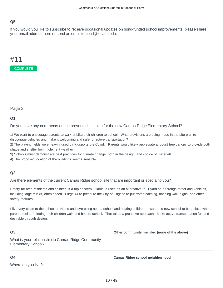If you would you like to subscribe to receive occasional updates on bond-funded school improvements, please share your email address here or send an email to bond@4j.lane.edu.

### #11



Page 2

#### **Q1**

Do you have any comments on the presented site plan for the new Camas Ridge Elementary School?

1) We want to encourage parents to walk or bike their children to school. What provisions are being made in the site plan to discourage vehicles and make it welcoming and safe for active transportation?

2) The playing fields were heavily used by Kidsports pre Covid. Parents would likely appreciate a robust tree canopy to provide both shade and shelter from inclement weather.

3) Schools must demonstrate best practices for climate change, both in the design, and choice of materials.

4) The proposed location of the buildings seems sensible.

#### **Q2**

Are there elements of the current Camas Ridge school site that are important or special to you?

Safety for area residents and children is a top concern. Harris is used as an alternative to Hilyard as a through street and vehicles, including large trucks, often speed. I urge 4J to pressure the City of Eugene to put traffic calming, flashing walk signs, and other safety features.

I live very close to the school on Harris and love being near a school and hearing children. I want this new school to be a place where parents feel safe letting their children walk and bike to school. That takes a proactive approach. Make active transportation fun and desirable through design.

#### **Q3**

What is your relationship to Camas Ridge Community Elementary School?

#### **Q4**

Where do you live?

**Camas Ridge school neighborhood**

**Other community member (none of the above)**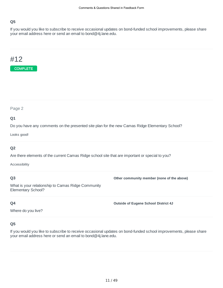If you would you like to subscribe to receive occasional updates on bond-funded school improvements, please share your email address here or send an email to bond@4j.lane.edu.

### #12



Page 2

#### **Q1**

Do you have any comments on the presented site plan for the new Camas Ridge Elementary School?

Looks good!

#### **Q2**

Are there elements of the current Camas Ridge school site that are important or special to you?

Accessibility

#### **Q3**

**Other community member (none of the above)**

What is your relationship to Camas Ridge Community Elementary School?

#### **Q4**

**Outside of Eugene School District 4J**

Where do you live?

#### **Q5**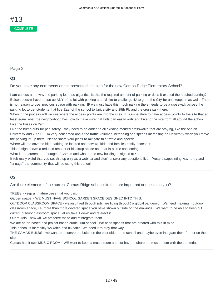#### **Q1**

Do you have any comments on the presented site plan for the new Camas Ridge Elementary School?

I am curious as to why the parking lot is so gigantic. Is this the required amount of parking or does it exceed the required parking? Edison doesn't have to use up ANY of its lot with parking and I'd like to challenge 4J to go to the City for an exception as well. There is not reason to use precious space with parking. IF we must have this much parking there needs to be a crosswalk across the parking lot to get students that live East of the school to University and 29th Pl. and the crosswalk there.

When in the process will we see where the access points are into the site? It is imperative to have access points to the site that at least equal what the neighborhood has now to make sure that kids can easily walk and bike to the site from all around the school. Like the buses on 29th.

Like the bump outs for ped safety - they need to be added to all existing marked crosswalks that are staying, like the one on University and 29th Pl. I'm very concerned about the traffic volumes increasing and speeds increasing on University when you move the parking lot up there. Please share your plans to mitigate this traffic and speeds.

Where will the covered bike parking be located and how will kids and families easily access it!

This design shows a reduced amount of blacktop space and that is a little concerning.

What is the current sq. footage of Camas and what is the new building designed at?

It felt really weird that you set this up only as a webinar and didn't answer any questions live. Pretty disappointing way to try and "engage" the community that will be using this school.

#### **Q2**

Are there elements of the current Camas Ridge school site that are important or special to you?

TREES - keep all mature trees that you can.

Garden space - WE MUST HAVE SCHOOL GARDEN SPACE DESIGNED INTO THIS.

OUTDOOR CLASSROOM SPACE - we just lived through (still are living through) a global pandemic. We need maximum outdoor classroom space, i.e. more than more covered space you have shown outside on the drawings. We want to be able to keep out current outdoor classroom space, let us take it down and re-erect it.

Our murals - how will we preserve these and reintegrate them.

We are an art-based and project based curriculum school. We need spaces that are created with this in mind.

This school is incredibly walkable and bikeable. We need it to stay that way.

THE CAMAS BULBS - we want to preserve the bulbs on the east side of the school and maybe even integrate them further on the site.

Camas has it own MUSIC ROOM. WE want to keep a music room and not have to share the music room with the cafeteria.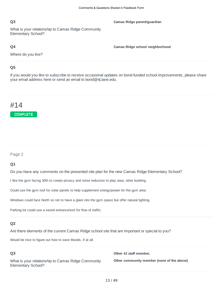What is your relationship to Camas Ridge Community Elementary School?

#### **Q4**

**Camas Ridge school neighborhood**

**Camas Ridge parent/guardian**

Where do you live?

#### **Q5**

If you would you like to subscribe to receive occasional updates on bond-funded school improvements, please share your email address here or send an email to bond@4j.lane.edu.

# #14

**COMPLETE** 

#### Page 2

#### **Q1**

Do you have any comments on the presented site plan for the new Camas Ridge Elementary School?

I like the gym facing 30th to create privacy and noise reduction to play area, other building.

Could use the gym roof for solar panels to help supplement energy/power for the gym area.

Windows could face North so not to have a glare into the gym space but offer natural lighting.

Parking lot could use a seond entrance/exit for flow of traffic.

#### **Q2**

Are there elements of the current Camas Ridge school site that are important or special to you?

Would be nice to figure out how to save Murals, if at all.

#### **Q3**

What is your relationship to Camas Ridge Community Elementary School?

**Other 4J staff member,**

**Other community member (none of the above)**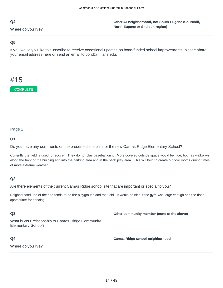Where do you live?

**Other 4J neighborhood, not South Eugene (Churchill, North Eugene or Sheldon region)**

#### **Q5**

If you would you like to subscribe to receive occasional updates on bond-funded school improvements, please share your email address here or send an email to bond@4j.lane.edu.

# #15

**COMPLETE** 

Page 2

#### **Q1**

Do you have any comments on the presented site plan for the new Camas Ridge Elementary School?

Currently the field is used for soccer. They do not play baseball on it. More covered outside space would be nice, both as walkways along the front of the building and into the parking area and in the back play area. This will help to create outdoor rooms during times of more extreme weather.

#### **Q2**

Are there elements of the current Camas Ridge school site that are important or special to you?

Neighborhood use of the site tends to be the playground and the field. It would be nice if the gym was large enough and the floor appropriate for dancing.

#### **Q3**

**Other community member (none of the above)**

What is your relationship to Camas Ridge Community Elementary School?

#### **Q4**

Where do you live?

**Camas Ridge school neighborhood**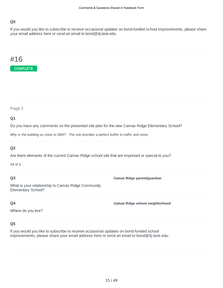If you would you like to subscribe to receive occasional updates on bond-funded school improvements, please share your email address here or send an email to bond@4j.lane.edu.

## #16



Page 2

#### **Q1**

Do you have any comments on the presented site plan for the new Camas Ridge Elementary School?

Why is the building so close to 30th? The site provides a perfect buffer to traffic and noise.

#### **Q2**

Are there elements of the current Camas Ridge school site that are important or special to you?

All of it.

#### **Q3**

**Camas Ridge parent/guardian**

**Camas Ridge school neighborhood**

What is your relationship to Camas Ridge Community Elementary School?

#### **Q4**

Where do you live?

#### **Q5**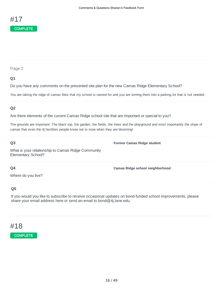

#### **Q1**

Do you have any comments on the presented site plan for the new Camas Ridge Elementary School?

You are taking the ridge of camas lilies that my school is named for and you are turning them into a parking lot that is not needed.

#### **Q2**

Are there elements of the current Camas Ridge school site that are important or special to you?

The grounds are important. The black top, the garden, the fields, the trees and the playground and most importantly the slope of camas that even the 4j facilities people know not to mow when they are blooming!

#### **Q3**

**Former Camas Ridge student**

What is your relationship to Camas Ridge Community Elementary School?

#### **Q4**

**Camas Ridge school neighborhood**

### Where do you live?

#### **Q5**

If you would you like to subscribe to receive occasional updates on bond-funded school improvements, please share your email address here or send an email to bond@4j.lane.edu.

### #18

#### COMPLETE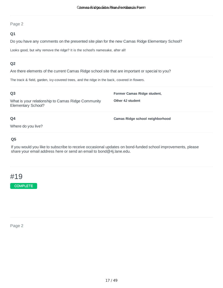#### **Q1**

Do you have any comments on the presented site plan for the new Camas Ridge Elementary School?

Looks good, but why remove the ridge? It is the school's namesake, after all!

#### **Q2**

Are there elements of the current Camas Ridge school site that are important or special to you?

The track & field, garden, ivy-covered trees, and the ridge in the back, covered in flowers.

#### **Q3**

What is your relationship to Camas Ridge Community Elementary School?

**Former Camas Ridge student,**

**Camas Ridge school neighborhood**

**Other 4J student**

### **Q4**

Where do you live?

#### **Q5**

If you would you like to subscribe to receive occasional updates on bond-funded school improvements, please share your email address here or send an email to bond@4j.lane.edu.

### #19

**COMPLETE** 

Page 2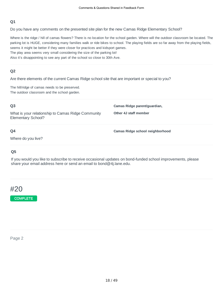Do you have any comments on the presented site plan for the new Camas Ridge Elementary School?

Where is the ridge / hill of camas flowers? There is no location for the school garden. Where will the outdoor classroom be located. The parking lot is HUGE, considering many families walk or ride bikes to school. The playing fields are so far away from the playing fields, seems it might be better if they were closer for practices and kidsport games. The play area seems very small considering the size of the parking lot!

Also it's disappointing to see any part of the school so close to 30th Ave.

#### **Q2**

Are there elements of the current Camas Ridge school site that are important or special to you?

The hill/ridge of camas needs to be preserved. The outdoor classroom and the school garden.

| Q <sub>3</sub>                                                           | Camas Ridge parent/guardian,    |
|--------------------------------------------------------------------------|---------------------------------|
| What is your relationship to Camas Ridge Community<br>Elementary School? | Other 4J staff member           |
| Q4                                                                       | Camas Ridge school neighborhood |
| Where do you live?                                                       |                                 |

#### **Q5**

If you would you like to subscribe to receive occasional updates on bond-funded school improvements, please share your email address here or send an email to bond@4j.lane.edu.



COMPLETE

#### Page 2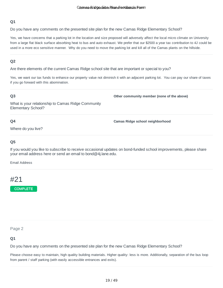Do you have any comments on the presented site plan for the new Camas Ridge Elementary School?

Yes, we have concerns that a parking lot in the location and size proposed will adversely affect the local micro climate on University from a large flat black surface absorbing heat to bus and auto exhaust. We prefer that our \$2500 a year tax contribution to 4J could be used in a more eco sensitive manner. Why do you need to move the parking lot and kill all of the Camas plants on the hillside.

#### **Q2**

Are there elements of the current Camas Ridge school site that are important or special to you?

Yes, we want our tax funds to enhance our property value not diminish it with an adjacent parking lot. You can pay our share of taxes if you go forward with this abomination.

#### **Q3**

**Other community member (none of the above)**

What is your relationship to Camas Ridge Community Elementary School?

#### **Q4**

**Camas Ridge school neighborhood**

Where do you live?

#### **Q5**

If you would you like to subscribe to receive occasional updates on bond-funded school improvements, please share your email address here or send an email to bond@4j.lane.edu.

Email Address

### #21

COMPLETE

Page 2

#### **Q1**

Do you have any comments on the presented site plan for the new Camas Ridge Elementary School?

Please choose easy to maintain, high quality building materials. Higher quality: less is more. Additionally, separation of the bus loop from parent / staff parking (with easily accessible entrances and exits).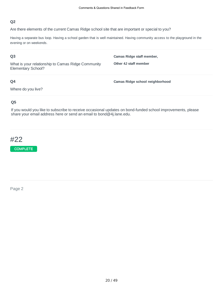Are there elements of the current Camas Ridge school site that are important or special to you?

Having a separate bus loop. Having a school garden that is well maintained. Having community access to the playground in the evening or on weekends.

#### **Q3**

What is your relationship to Camas Ridge Community Elementary School?

**Other 4J staff member**

**Camas Ridge staff member,**

**Camas Ridge school neighborhood**

#### **Q4**

Where do you live?

#### **Q5**

If you would you like to subscribe to receive occasional updates on bond-funded school improvements, please share your email address here or send an email to bond@4j.lane.edu.

# #22

COMPLETE

Page 2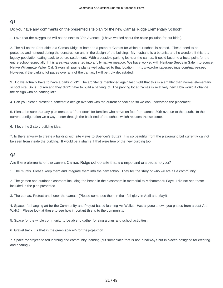Do you have any comments on the presented site plan for the new Camas Ridge Elementary School?

1. Love that the playground will not be next to 30th Avenue! (I have worried about the noise pollution for our kids!)

2. The hill on the East side is a Camas Ridge is home to a patch of Camas for which our school is named. These need to be protected and honored during the construction and in the design of the building. My husband is a botanist and he wonders if this is a legacy population dating back to before settlement. With a possible parking lot near the camas, it could become a focal point for the entire school especially if this area was converted into a fully native meadow. We have worked with Heritage Seeds in Salem to source Native Willamette Valley Oak Savannah prairie plants well adapted to that location. http://www.heritageseedlings.com/native-seed However, if the parking lot paves over any of the camas, I will be truly devastated.

3. Do we actually have to have a parking lot? The architects mentioned again last night that this is a smaller than normal elementary school site. So is Edison and they didn't have to build a parking lot. The parking lot at Camas is relatively new. How would it change the design with no parking lot?

4. Can you please present a schematic design overlaid with the current school site so we can understand the placement.

5. Please be sure that any plan creates a "front door" for families who arrive on foot from across 30th avenue to the south. In the current configuration we always enter through the back end of the school which reduces the welcome.

6. I love the 2 story building idea.

7. Is there anyway to create a building with site views to Spencer's Butte? It is so beautiful from the playground but currently cannot be seen from inside the building. It would be a shame if that were true of the new building too.

#### **Q2**

Are there elements of the current Camas Ridge school site that are important or special to you?

1. The murals. Please keep them and integrate them into the new school. They tell the story of who we are as a community.

2. The garden and outdoor classroom including the bench in the classroom in memorial to Mohammadu Faye. I did not see these included in the plan presented.

3. The camas. Protect and honor the camas. (Please come see them in their full glory in April and May!)

4. Spaces for hanging art for the Community and Project-based learning Art Walks. Has anyone shown you photos from a past Art Walk?! Please look at these to see how important this is to the community.

5. Space for the whole community to be able to gather for sing alongs and school activities.

6. Gravel track (is that in the green space?) for the jog-a-thon.

7. Space for project-based learning and community learning (but someplace that is not in hallways but in places designed for creating and sharing.)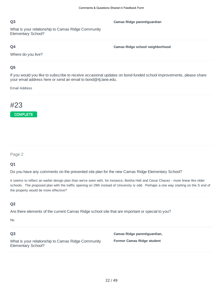What is your relationship to Camas Ridge Community Elementary School?

#### **Q4**

**Camas Ridge school neighborhood**

**Camas Ridge parent/guardian**

Where do you live?

#### **Q5**

If you would you like to subscribe to receive occasional updates on bond-funded school improvements, please share your email address here or send an email to bond@4j.lane.edu.

Email Address

# #23

**COMPLETE** 

#### Page 2

#### **Q1**

Do you have any comments on the presented site plan for the new Camas Ridge Elementary School?

It seems to reflect an earlier design plan than we've seen with, for instance, Bertha Holt and Cesar Chavez - more linear like older schools. The proposed plan with the traffic opening on 29th instead of University is odd. Perhaps a one way starting on the S end of the property would be more effective?

#### **Q2**

Are there elements of the current Camas Ridge school site that are important or special to you?

No

#### **Q3**

What is your relationship to Camas Ridge Community Elementary School?

**Camas Ridge parent/guardian, Former Camas Ridge student**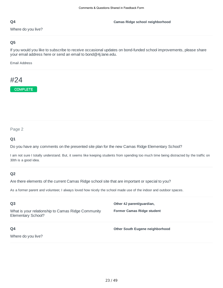Where do you live?

#### **Camas Ridge school neighborhood**

#### **Q5**

If you would you like to subscribe to receive occasional updates on bond-funded school improvements, please share your email address here or send an email to bond@4j.lane.edu.

Email Address

# #24

COMPLETE

#### Page 2

#### **Q1**

Do you have any comments on the presented site plan for the new Camas Ridge Elementary School?

I am not sure I totally understand. But, it seems like keeping students from spending too much time being distracted by the traffic on 30th is a good idea.

#### **Q2**

Are there elements of the current Camas Ridge school site that are important or special to you?

As a former parent and volunteer, I always loved how nicely the school made use of the indoor and outdoor spaces.

| Q <sub>3</sub>                                                           | Other 4J parent/quardian,         |
|--------------------------------------------------------------------------|-----------------------------------|
| What is your relationship to Camas Ridge Community<br>Elementary School? | <b>Former Camas Ridge student</b> |
| Q4                                                                       | Other South Eugene neighborhood   |
| Where do you live?                                                       |                                   |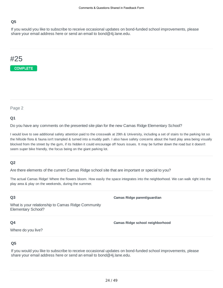If you would you like to subscribe to receive occasional updates on bond-funded school improvements, please share your email address here or send an email to bond@4j.lane.edu.

# #25



Page 2

#### **Q1**

Do you have any comments on the presented site plan for the new Camas Ridge Elementary School?

I would love to see additional safety attention paid to the crosswalk at 29th & University, including a set of stairs to the parking lot so the hillside flora & fauna isn't trampled & turned into a muddy path. I also have safety concerns about the hard play area being visually blocked from the street by the gym, if its hidden it could encourage off hours issues. It may be further down the road but it doesn't seem super bike friendly, the focus being on the giant parking lot.

#### **Q2**

Are there elements of the current Camas Ridge school site that are important or special to you?

The actual Camas Ridge! Where the flowers bloom. How easily the space integrates into the neighborhood. We can walk right into the play area & play on the weekends, during the summer.

#### **Q3**

**Camas Ridge parent/guardian**

What is your relationship to Camas Ridge Community Elementary School?

#### **Q4**

**Camas Ridge school neighborhood**

Where do you live?

#### **Q5**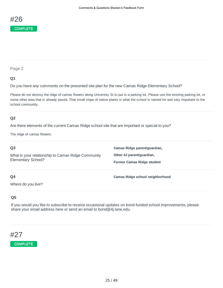

#### **Q1**

Do you have any comments on the presented site plan for the new Camas Ridge Elementary School?

Please do not destroy the ridge of camas flowers along University St to put in a parking lot. Please use the existing parking lot, or some other area that is already paved. That small slope of native plants is what the school is named for and very important to the school community.

#### **Q2**

Are there elements of the current Camas Ridge school site that are important or special to you?

The ridge of camas flowers.

| Q <sub>3</sub>                                                           | Camas Ridge parent/guardian,                                   |
|--------------------------------------------------------------------------|----------------------------------------------------------------|
| What is your relationship to Camas Ridge Community<br>Elementary School? | Other 4J parent/guardian,<br><b>Former Camas Ridge student</b> |
| Q4                                                                       | Camas Ridge school neighborhood                                |

Where do you live?

#### **Q5**

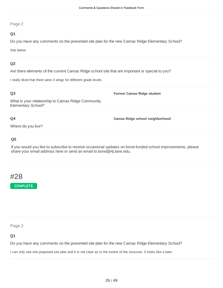#### **Q1**

Do you have any comments on the presented site plan for the new Camas Ridge Elementary School?

See below

#### **Q2**

Are there elements of the current Camas Ridge school site that are important or special to you?

I really liked that there were 3 wings for different grade levels.

#### **Q3**

What is your relationship to Camas Ridge Community Elementary School?

#### **Q4**

**Camas Ridge school neighborhood**

**Former Camas Ridge student**

Where do you live?

#### **Q5**

If you would you like to subscribe to receive occasional updates on bond-funded school improvements, please share your email address here or send an email to bond@4j.lane.edu.

### #28

**COMPLETE** 

Page 2

**Q1**

Do you have any comments on the presented site plan for the new Camas Ridge Elementary School?

I can only see one proposed site plan and it is not clear as to the extent of the structure. It looks like a barn.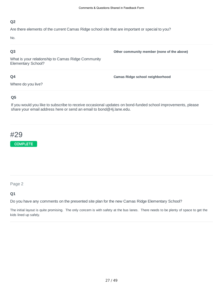Are there elements of the current Camas Ridge school site that are important or special to you?

No.

#### **Q3**

**Other community member (none of the above)**

What is your relationship to Camas Ridge Community Elementary School?

#### **Q4**

Where do you live?

**Camas Ridge school neighborhood**

#### **Q5**

If you would you like to subscribe to receive occasional updates on bond-funded school improvements, please share your email address here or send an email to bond@4j.lane.edu.

# #29



#### Page 2

#### **Q1**

Do you have any comments on the presented site plan for the new Camas Ridge Elementary School?

The initial layout is quite promising. The only concern is with safety at the bus lanes. There needs to be plenty of space to get the kids lined up safely.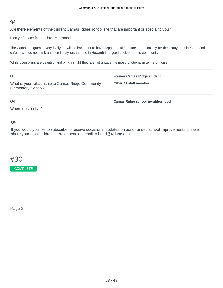Are there elements of the current Camas Ridge school site that are important or special to you?

Plenty of space for safe bus transportation.

The Camas program is very lively. It will be important to have separate quiet spaces - particularly for the library, music room, and cafeteria. I do not think an open library (as the one in Howard) is a good choice for this community.

While open plans are beautiful and bring in light they are not always the most functional in terms of noise.

| Q <sub>3</sub>                                                           | Former Camas Ridge student,     |
|--------------------------------------------------------------------------|---------------------------------|
| What is your relationship to Camas Ridge Community<br>Elementary School? | Other 4J staff member           |
| Q4                                                                       | Camas Ridge school neighborhood |
| Where do you live?                                                       |                                 |

#### **Q5**

If you would you like to subscribe to receive occasional updates on bond-funded school improvements, please share your email address here or send an email to bond@4j.lane.edu.

# #30

**COMPLETE** 

Page 2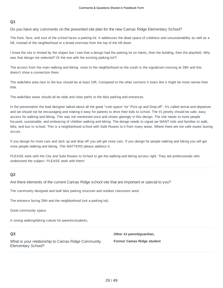Do you have any comments on the presented site plan for the new Camas Ridge Elementary School?

The front, face, and soul of the school faces a parking lot. It addresses the dead space of coldness and unsustainability as well as a hill, instead of the neighborhood or a broad overview from the top of the hill down.

I know the site is limited by the slopes but I saw that a design had the parking lot on Harris, then the building, then the playfield. Why was that design not selected? Or the one with the existing parking lot?!

The access from the main walking and biking route to the neighborhood on the south is the signalized crossing at 29th and this doesn't show a connection there.

The walk/bike area next to the bus should be at least 10ft. Compared to the other sections it looks like it might be more narrow than that.

The walk/bike areas should all be wide and clear paths to the bike parking and entrances.

In the presentation the lead designer talked about all the great "curb space" for "Pick-up and Drop-off". It's called arrival and departure and we should not be encouraging and making it easy for parents to drive their kids to school. The #1 priority should be safe, easy access for walking and biking. This was not mentioned once and shows glaringly in this design. The site needs to more people focused, sustainable, and embracing of children walking and biking. The design needs to signal we WANT kids and families to walk, bike, and bus to school. This is a neighborhood school with Safe Routes to it from many areas. Where there are not safe routes busing occurs.

If you design for more cars and 'pick up and drop off' you will get more cars. If you design for people walking and biking you will get more people walking and biking. This MATTERS please address it.

PLEASE work with the City and Safe Routes to School to get the walking and biking access right. They are professionals who understand the subject. PLEASE work with them!

#### **Q2**

Are there elements of the current Camas Ridge school site that are important or special to you?

The community designed and built bike parking structure and outdoor classroom area!

The entrance facing 29th and the neighborhood (not a parking lot).

Good community space.

A strong walking/biking culture for parents/students.

#### **Q3**

What is your relationship to Camas Ridge Community Elementary School?

**Other 4J parent/guardian, Former Camas Ridge student**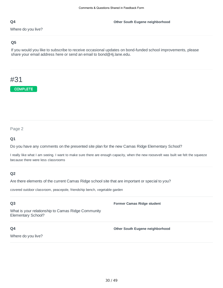Where do you live?

#### **Q5**

If you would you like to subscribe to receive occasional updates on bond-funded school improvements, please share your email address here or send an email to bond@4j.lane.edu.

# #31

**COMPLETE** 

#### Page 2

#### **Q1**

Do you have any comments on the presented site plan for the new Camas Ridge Elementary School?

I really like what I am seeing. I want to make sure there are enough capacity, when the new roosevelt was built we felt the squeeze because there were less classrooms

#### **Q2**

Are there elements of the current Camas Ridge school site that are important or special to you?

covered outdoor classroom, peacepole, friendship bench, vegetable garden

#### **Q3**

**Former Camas Ridge student**

**Other South Eugene neighborhood**

What is your relationship to Camas Ridge Community Elementary School?

#### **Q4**

Where do you live?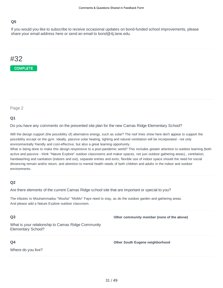If you would you like to subscribe to receive occasional updates on bond-funded school improvements, please share your email address here or send an email to bond@4j.lane.edu.

# #32



Page 2

#### **Q1**

Do you have any comments on the presented site plan for the new Camas Ridge Elementary School?

Will the design support (the possibility of) alternative energy, such as solar? The roof lines show here don't appear to support the possibility except on the gym Ideally, passive solar heating, lighting and natural ventilation will be incorporated - not only environmentally friendly and cost-effective, but also a great learning opportunity.

What is being done to make this design responsive to a post-pandemic world? This includes greater attention to outdoor learning (both active and passive - think "Nature Explore" outdoor classrooms and maker spaces, not just outdoor gathering areas)., ventilation, handwashing and sanitation (indoors and out), separate entries and exits, flexible use of indoor space should the need for social distancing remain and/or return, and attention to mental health needs of both children and adults in the indoor and outdoor environments.

#### **Q2**

Are there elements of the current Camas Ridge school site that are important or special to you?

The tributes to Mouhammadou "Mouha" "MoMo" Faye need to stay, as do the outdoor garden and gathering areas. And please add a Nature Explore outdoor classroom.

#### **Q3**

**Other community member (none of the above)**

What is your relationship to Camas Ridge Community Elementary School?

#### **Q4**

Where do you live?

**Other South Eugene neighborhood**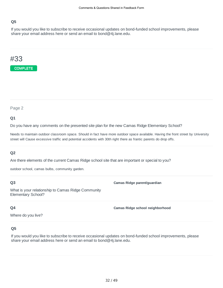If you would you like to subscribe to receive occasional updates on bond-funded school improvements, please share your email address here or send an email to bond@4j.lane.edu.

### #33



Page 2

#### **Q1**

Do you have any comments on the presented site plan for the new Camas Ridge Elementary School?

Needs to maintain outdoor classroom space. Should in fact have more outdoor space available. Having the front street by University street will Cause excessive traffic and potential accidents with 30th right there as frantic parents do drop offs.

#### **Q2**

Are there elements of the current Camas Ridge school site that are important or special to you?

outdoor school, camas bulbs, community garden.

#### **Q3**

What is your relationship to Camas Ridge Community Elementary School?

#### **Q4**

**Camas Ridge school neighborhood**

**Camas Ridge parent/guardian**

Where do you live?

#### **Q5**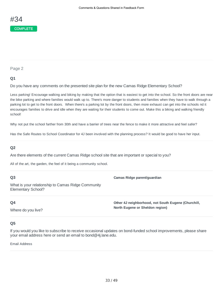#### **Q1**

Do you have any comments on the presented site plan for the new Camas Ridge Elementary School?

Less parking! Encourage walking and biking by making that the option that is easiest to get into the school. So the front doors are near the bike parking and where families would walk up to. There's more danger to students and families when they have to walk through a parking lot to get to the front doors. When there's a parking lot by the front doors, then more exhaust can get into the schools nd it encourages families to drive and idle when they are waiting for their students to come out. Make this a biking and walking friendly school!

Why not put the school farther from 30th and have a barrier of trees near the fence to make it more attractive and feel safer?

Has the Safe Routes to School Coordinator for 4J been involved with the planning process? It would be good to have her input.

#### **Q2**

Are there elements of the current Camas Ridge school site that are important or special to you?

All of the art, the garden, the feel of it being a community school.

#### **Q3**

What is your relationship to Camas Ridge Community Elementary School?

#### **Q4**

Where do you live?

**Other 4J neighborhood, not South Eugene (Churchill, North Eugene or Sheldon region)**

**Camas Ridge parent/guardian**

#### **Q5**

If you would you like to subscribe to receive occasional updates on bond-funded school improvements, please share your email address here or send an email to bond@4j.lane.edu.

Email Address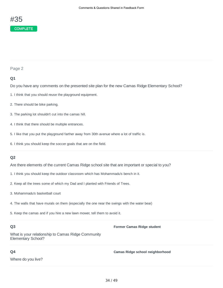#### **Q1**

Do you have any comments on the presented site plan for the new Camas Ridge Elementary School?

- 1. I think that you should reuse the playground equipment.
- 2. There should be bike parking.
- 3. The parking lot shouldn't cut into the camas hill.
- 4. I think that there should be multiple entrances.
- 5. I like that you put the playground farther away from 30th avenue where a lot of traffic is.
- 6. I think you should keep the soccer goals that are on the field.

#### **Q2**

Are there elements of the current Camas Ridge school site that are important or special to you?

- 1. I think you should keep the outdoor classroom which has Mohammadu's bench in it.
- 2. Keep all the trees some of which my Dad and I planted with Friends of Trees.
- 3. Mohammadu's basketball court
- 4. The walls that have murals on them (especially the one near the swings with the water bear)
- 5. Keep the camas and if you hire a new lawn mower, tell them to avoid it.

#### **Q3**

#### **Former Camas Ridge student**

What is your relationship to Camas Ridge Community Elementary School?

#### **Q4**

Where do you live?

**Camas Ridge school neighborhood**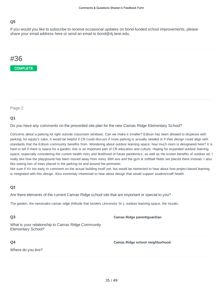If you would you like to subscribe to receive occasional updates on bond-funded school improvements, please share your email address here or send an email to bond@4j.lane.edu.

# #36



Page 2

#### **Q1**

Do you have any comments on the presented site plan for the new Camas Ridge Elementary School?

Concerns about a parking lot right outside classroom windows. Can we make it smaller? Edison has been allowed to dispense with parking; for equity's sake, it would be helpful if CR could discuss if more parking is actually needed or if their design could align with standards that the Edison community benefits from. Wondering about outdoor learning space; how much room is designated here? It is hard to tell if there is space for a garden; this is an important part of CR education and culture. Hoping for expanded outdoor learning space, especially considering the current health risks and likelihood of future pandemics, as well as the known benefits of outdoor ed. I really like how the playground has been moved away from noisy 30th ave and the gym & softball fields are placed there instead. I also like seeing lots of trees placed in the parking lot and around the perimeter.

Not sure if it's too early to comment on the actual building itself yet, but would be interested to hear about how project-based learning is integrated with this design. Also extremely interested to hear about design that would support student/staff health.

#### **Q2**

Are there elements of the current Camas Ridge school site that are important or special to you?

The garden, the namesake camas ridge (hillside that borders University St.), outdoor learning space, the murals.

#### **Q3**

**Camas Ridge parent/guardian**

What is your relationship to Camas Ridge Community Elementary School?

#### **Q4**

Where do you live?

**Camas Ridge school neighborhood**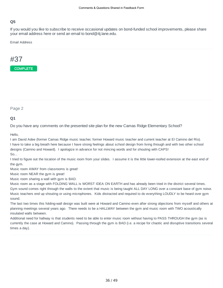If you would you like to subscribe to receive occasional updates on bond-funded school improvements, please share your email address here or send an email to bond@4j.lane.edu.

Email Address

# #37



Page 2

#### **Q1**

Do you have any comments on the presented site plan for the new Camas Ridge Elementary School?

Hello,

I am David Adee (former Camas Ridge music teacher, former Howard music teacher and current teacher at El Camino del Río). I have to take a big breath here because I have strong feelings about school design from living through and with two other school designs (Camino and Howard). I apologize in advance for not mincing words and for shouting with CAPS! So...

I tried to figure out the location of the music room from your slides. I assume it is the little lower-roofed extension at the east end of the gym.

Music room AWAY from classrooms is great!

Music room NEAR the gym is great!

Music room sharing a wall with gym is BAD.

Music room as a stage with FOLDING WALL is WORST IDEA ON EARTH and has already been tried in the district several times. Gym sound comes right through the walls to the extent that music is being taught ALL DAY LONG over a constant base of gym noise. Music teachers end up shouting or using microphones. Kids distracted and required to do everything LOUDLY to be heard over gym sound.

The last two times this folding-wall design was built were at Howard and Camino even after strong objections from myself and others at planning meetings several years ago. There needs to be a HALLWAY between the gym and music room with TWO acoustically insulated walls between.

Additional need for hallway is that students need to be able to enter music room without having to PASS THROUGH the gym (as is currently the case at Howard and Camino). Passing through the gym is BAD (i.e. a recipe for chaotic and disruptive transitions several times a day).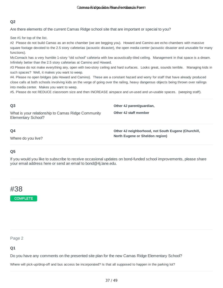Are there elements of the current Camas Ridge school site that are important or special to you?

See #1 for top of the list.

#2 Please do not build Camas as an echo chamber (we are begging you). Howard and Camino are echo chambers with massive square footage devoted to the 2.5 story cafeterias (acoustic disaster), the open media center (acoustic disaster and unusable for many functions).

McCornack has a very humble 1-story "old school" cafeteria with low acoustically-tiled ceiling. Management in that space is a dream. Infinitely better than the 2.5 story cafeterias at Camino and Howard.

#3 Please do not make everything airy, open with two-story ceiling and hard surfaces. Looks great, sounds terrible. Managing kids in such spaces? Well, it makes you want to weep.

#4. Please no open bridges (ala Howard and Camino). These are a constant hazard and worry for staff that have already produced close calls at both schools involving kids on the verge of going over the railing, heavy dangerous objects being thrown over railings into media center. Makes you want to weep.

#5. Please do not REDUCE classroom size and then INCREASE airspace and un-used and un-usable spaces. (weeping staff).

| Q <sub>3</sub>                                                           | Other 4J parent/quardian,                                                              |
|--------------------------------------------------------------------------|----------------------------------------------------------------------------------------|
| What is your relationship to Camas Ridge Community<br>Elementary School? | Other 4J staff member                                                                  |
| Q4<br>Where do you live?                                                 | Other 4J neighborhood, not South Eugene (Churchill,<br>North Eugene or Sheldon region) |

#### **Q5**

If you would you like to subscribe to receive occasional updates on bond-funded school improvements, please share your email address here or send an email to bond@4j.lane.edu.



COMPLETE

Page 2

#### **Q1**

Do you have any comments on the presented site plan for the new Camas Ridge Elementary School?

Where will pick-up/drop-off and bus access be incorporated? Is that all supposed to happen in the parking lot?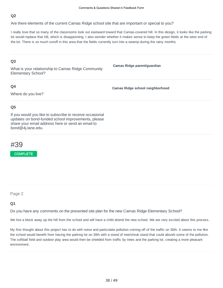Are there elements of the current Camas Ridge school site that are important or special to you?

I really love that so many of the classrooms look out eastward toward that Camas-covered hill. In this design, it looks like the parking lot would replace that hill, which is disappointing. I also wonder whether it makes sense to keep the green fields at the west end of the lot. There is so much runoff in this area that the fields currently turn into a swamp during the rainy months.

#### **Q3**

What is your relationship to Camas Ridge Community Elementary School?

#### **Q4**

**Camas Ridge school neighborhood**

**Camas Ridge parent/guardian**

Where do you live?

#### **Q5**

If you would you like to subscribe to receive occasional updates on bond-funded school improvements, please share your email address here or send an email to bond@4j.lane.edu.



COMPLETE

Page 2

#### **Q1**

Do you have any comments on the presented site plan for the new Camas Ridge Elementary School?

We live a block away up the hill from the school and will have a child attend the new school. We are very excited about this process.

My first thought about this project has to do with noise and particulate pollution coming off of the traffic on 30th. It seems to me like the school would benefit from having the parking lot on 30th with a stand of tree/shrub stand that could absorb some of the pollution. The softball field and outdoor play area would then be shielded from traffic by trees and the parking lot, creating a more pleasant environment.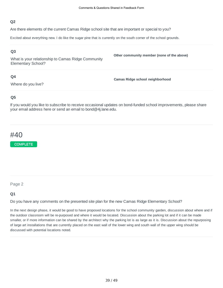Are there elements of the current Camas Ridge school site that are important or special to you?

Excited about everything new. I do like the sugar pine that is currently on the south corner of the school grounds.

#### **Q3**

What is your relationship to Camas Ridge Community Elementary School?

#### **Q4**

Where do you live?

**Camas Ridge school neighborhood**

**Other community member (none of the above)**

#### **Q5**

If you would you like to subscribe to receive occasional updates on bond-funded school improvements, please share your email address here or send an email to bond@4j.lane.edu.

# #40

COMPLETE

#### Page 2

#### **Q1**

Do you have any comments on the presented site plan for the new Camas Ridge Elementary School?

In the next design phase, it would be good to have proposed locations for the school community garden, discussion about where and if the outdoor classroom will be re-purposed and where it would be located. Discussion about the parking lot and if it can be made smaller, or if more information can be shared by the architect why the parking lot is as large as it is. Discussion about the repurposing of large art installations that are currently placed on the east wall of the lower wing and south wall of the upper wing should be discussed with potential locations noted.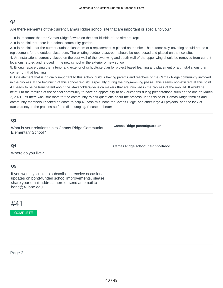Are there elements of the current Camas Ridge school site that are important or special to you?

1. It is important that the Camas Ridge flowers on the east hillside of the site are kept.

2. It is crucial that there is a school community garden.

3. It is crucial i that the current outdoor classroom or a replacement is placed on the site. The outdoor play covering should not be a replacement for the outdoor classroom. The existing outdoor classroom should be repurposed and placed on the new site.

4. Art installations currently placed on the east wall of the lower wing and south wall of the upper wing should be removed from current locations, stored and re-used in the new school or the exterior of new school.

5. Enough space using the interior and exterior of school/site plan for project based learning and placement or art installations that come from that learning.

6. One element that is crucially important to this school build is having parents and teachers of the Camas Ridge community involved in the process at the beginning of this school re-build, especially during the programming phase. this seems non-existent at this point. 4J needs to be be transparent about the stakeholders/decision makers that are involved in the process of the re-build. It would be helpful to the families of the school community to have an opportunity to ask questions during presentations such as the one on March 2, 2021, as there was little room for the community to ask questions about the process up to this point. Camas Ridge families and community members knocked on doors to help 4J pass this bond for Camas Ridge, and other large 4J projects, and the lack of transparency in the process so far is discouraging. Please do better.

#### **Q3**

What is your relationship to Camas Ridge Community Elementary School?

**Camas Ridge parent/guardian**

#### **Q4**

**Camas Ridge school neighborhood**

Where do you live?

#### **Q5**

If you would you like to subscribe to receive occasional updates on bond-funded school improvements, please share your email address here or send an email to bond@4j.lane.edu.

### #41

COMPLETE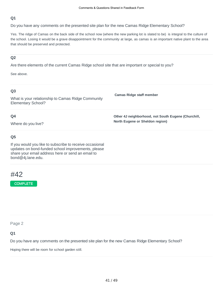Do you have any comments on the presented site plan for the new Camas Ridge Elementary School?

Yes. The ridge of Camas on the back side of the school now (where the new parking lot is slated to be) is integral to the culture of the school. Losing it would be a grave disappointment for the community at large, as camas is an important native plant to the area that should be preserved and protected.

#### **Q2**

Are there elements of the current Camas Ridge school site that are important or special to you?

See above.

| Q <sub>3</sub><br>What is your relationship to Camas Ridge Community<br>Elementary School? | <b>Camas Ridge staff member</b>                                                        |
|--------------------------------------------------------------------------------------------|----------------------------------------------------------------------------------------|
| Q4<br>Where do you live?                                                                   | Other 4J neighborhood, not South Eugene (Churchill,<br>North Eugene or Sheldon region) |
|                                                                                            |                                                                                        |

#### **Q5**

If you would you like to subscribe to receive occasional updates on bond-funded school improvements, please share your email address here or send an email to bond@4j.lane.edu.

# #42

#### **COMPLETE**

Page 2

**Q1**

Do you have any comments on the presented site plan for the new Camas Ridge Elementary School?

Hoping there will be room for school garden still.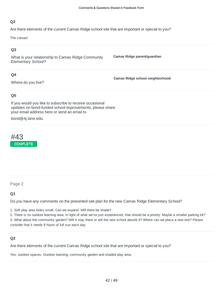Are there elements of the current Camas Ridge school site that are important or special to you?

The camas!

#### **Q3**

What is your relationship to Camas Ridge Community Elementary School?

#### **Q4**

Where do you live?

**Camas Ridge school neighborhood**

**Camas Ridge parent/guardian**

#### **Q5**

If you would you like to subscribe to receive occasional updates on bond-funded school improvements, please share your email address here or send an email to

bond@4j.lane.edu.



#### Page 2

#### **Q1**

Do you have any comments on the presented site plan for the new Camas Ridge Elementary School?

1. Soft play area looks small. Can we expand. Will there be shade?

2. There is no outdoor learning area. In light of what we've just experienced, that should be a priority. Maybe a smaller parking lot?

3. What about the community garden? Will it stay there or will the new school absorb it? Where can we place a new one? Please consider that it needs 8 hours of full sun each day.

#### **Q2**

Are there elements of the current Camas Ridge school site that are important or special to you?

Yes, outdoor spaces. Outdoor learning, community garden and shaded play area.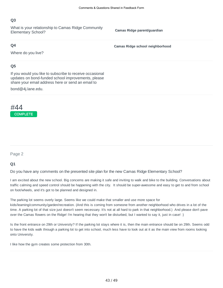What is your relationship to Camas Ridge Community Elementary School?

**Camas Ridge parent/guardian**

#### **Q4**

Where do you live?

**Camas Ridge school neighborhood**

#### **Q5**

If you would you like to subscribe to receive occasional updates on bond-funded school improvements, please share your email address here or send an email to

bond@4j.lane.edu.

## #44 **COMPLETE**

Page 2

#### **Q1**

Do you have any comments on the presented site plan for the new Camas Ridge Elementary School?

I am excited about the new school. Big concerns are making it safe and inviting to walk and bike to the building. Conversations about traffic calming and speed control should be happening with the city. It should be super-awesome and easy to get to and from school on foot/wheels, and it's got to be planned and designed in.

The parking lot seems overly large. Seems like we could make that smaller and use more space for kids/learning/community/garden/recreation. (And this is coming from someone from another neighborhood who drives in a lot of the time. A parking lot of that size just doesn't seem necessary. It's not at all hard to park in that neighborhood.) And please don't pave over the Camas flowers on the Ridge! I'm hearing that they won't be disturbed, but I wanted to say it, just in case! :)

Is the front entrance on 29th or University? If the parking lot stays where it is, then the main entrance should be on 29th. Seems odd to have the kids walk through a parking lot to get into school, much less have to look out at it as the main view from rooms looking onto University.

I like how the gym creates some protection from 30th.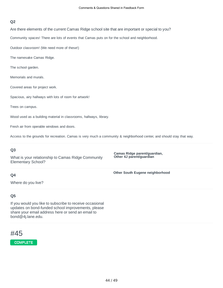Are there elements of the current Camas Ridge school site that are important or special to you?

Community spaces! There are lots of events that Camas puts on for the school and neighborhood.

Outdoor classroom! (We need more of these!)

The namesake Camas Ridge.

The school garden.

Memorials and murals.

Covered areas for project work.

Spacious, airy hallways with lots of room for artwork!

Trees on campus.

Wood used as a building material in classrooms, hallways, library.

Fresh air from operable windows and doors.

Access to the grounds for recreation. Camas is very much a community & neighborhood center, and should stay that way.

#### **Q3**

What is your relationship to Camas Ridge Community Elementary School?

**Camas Ridge parent/guardian, Other 4J parent/guardian**

#### **Other South Eugene neighborhood**

Where do you live?

#### **Q5**

**Q4**

If you would you like to subscribe to receive occasional updates on bond-funded school improvements, please share your email address here or send an email to bond@4j.lane.edu.

### #45

#### **COMPLETE**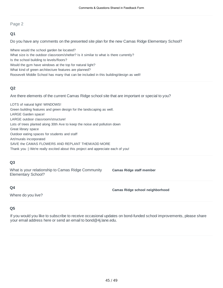#### **Q1**

Do you have any comments on the presented site plan for the new Camas Ridge Elementary School?

Where would the school garden be located? What size is the outdoor classroom/shelter? Is it similar to what is there currently? Is the school building to levels/floors? Would the gym have windows at the top for natural light? What kind of green architecture features are planned? Roosevelt Middle School has many that can be included in this building/design as well!

#### **Q2**

Are there elements of the current Camas Ridge school site that are important or special to you?

LOTS of natural light! WINDOWS! Green building features and green design for the landscaping as well. LARGE Garden space! LARGE outdoor classroom/structure! Lots of trees planted along 30th Ave to keep the noise and pollution down Great library space Outdoor eating spaces for students and staff Art/murals incorporated SAVE the CAMAS FLOWERS AND REPLANT THEM/ADD MORE Thank you :) We're really excited about this project and appreciate each of you!

#### **Q3**

What is your relationship to Camas Ridge Community Elementary School?

**Camas Ridge staff member**

#### **Q4**

**Camas Ridge school neighborhood**

Where do you live?

#### **Q5**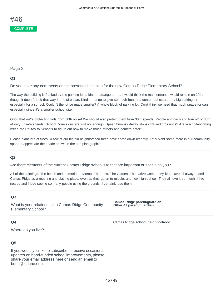#### **Q1**

Do you have any comments on the presented site plan for the new Camas Ridge Elementary School?

The way the building is flanked by the parking lot is kind of strange to me. I would think the main entrance would remain on 29th, though it doesn't look that way in the site plan. Kinda strange to give so much front-and-center real estate to a big parking lot, especially for a school. Couldn't the lot be made smaller? A whole block of parking lot. Don't think we need that much space for cars, especially since it's a smaller school site.

Good that we're protecting kids from 30th noise! We should also protect them from 30th speeds. People approach and turn off of 30th at very unsafe speeds. School Zone signs are just not enough. Speed bumps? 4-way stops? Raised crossings? Are you collaborating with Safe Routes to Schools to figure out how to make those streets and corners safer?

Please plant lots of trees. A few of our big old neighborhood trees have come down recently. Let's plant some more in our community space. I appreciate the shade shown in the site plan graphic.

#### **Q2**

Are there elements of the current Camas Ridge school site that are important or special to you?

All of the paintings. The bench and memorial to Momo. The trees. The Garden! The native Camas! My kids have all always used Camas Ridge as a meeting and playing place, even as they go on to middle, and now high school. They all love it so much. I live nearby and I love seeing so many people using the grounds. I certainly use them!

#### **Q3**

What is your relationship to Camas Ridge Community Elementary School?

**Camas Ridge parent/guardian, Other 4J parent/guardian**

#### **Q4**

**Camas Ridge school neighborhood**

Where do you live?

#### **Q5**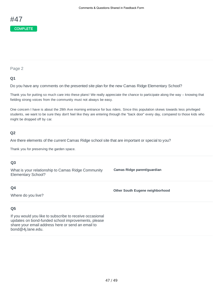

#### **Q1**

Do you have any comments on the presented site plan for the new Camas Ridge Elementary School?

Thank you for putting so much care into these plans! We really appreciate the chance to participate along the way – knowing that fielding strong voices from the community must not always be easy.

One concern I have is about the 29th Ave morning entrance for bus riders. Since this population skews towards less privileged students, we want to be sure they don't feel like they are entering through the "back door" every day, compared to those kids who might be dropped off by car.

#### **Q2**

Are there elements of the current Camas Ridge school site that are important or special to you?

Thank you for preserving the garden space.

#### **Q3**

What is your relationship to Camas Ridge Community Elementary School?

**Camas Ridge parent/guardian**

#### **Q4**

Where do you live?

**Other South Eugene neighborhood**

#### **Q5**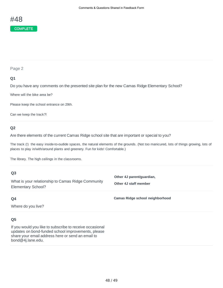#### **Q1**

Do you have any comments on the presented site plan for the new Camas Ridge Elementary School?

Where will the bike area be?

Please keep the school entrance on 29th.

Can we keep the track?!

#### **Q2**

#### Are there elements of the current Camas Ridge school site that are important or special to you?

The track (!) the easy inside-to-oudide spaces, the natural elements of the grounds. (Not too manicured, lots of things growing, lots of places to play in/with/around plants and greenery. Fun for kids! Comfortable.)

The library. The high ceilings in the classrooms.

What is your relationship to Camas Ridge Community Elementary School?

**Other 4J parent/guardian, Other 4J staff member**

**Camas Ridge school neighborhood**

#### **Q4**

Where do you live?

#### **Q5**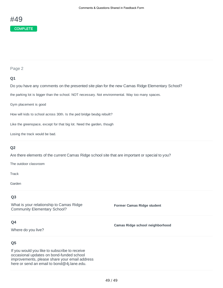#### **Q1**

Do you have any comments on the presented site plan for the new Camas Ridge Elementary School?

the parking lot is bigger than the school. NOT necessary. Not environmental. Way too many spaces.

Gym placement is good

How will kids to school across 30th. Is the ped bridge beubg rebuilt?

Like the greenspace, except for that big lot. Need the garden, though

Losing the track would be bad.

#### **Q2**

Are there elements of the current Camas Ridge school site that are important or special to you?

The outdoor classroom

Track

Garden

#### **Q3**

What is your relationship to Camas Ridge Community Elementary School?

**Former Camas Ridge student**

**Camas Ridge school neighborhood**

#### **Q4**

Where do you live?

#### **Q5**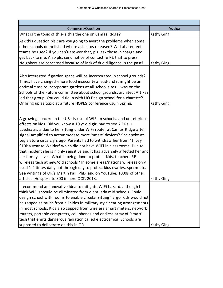T

| Comment/Question                                                                                                                                                                                                                                                                                                                                                                                                                                                                                                                                                                                                                                                                                                                                                                                                                                                                      | Author            |
|---------------------------------------------------------------------------------------------------------------------------------------------------------------------------------------------------------------------------------------------------------------------------------------------------------------------------------------------------------------------------------------------------------------------------------------------------------------------------------------------------------------------------------------------------------------------------------------------------------------------------------------------------------------------------------------------------------------------------------------------------------------------------------------------------------------------------------------------------------------------------------------|-------------------|
| What is the topic of this-is this the one on Camas RIdge?                                                                                                                                                                                                                                                                                                                                                                                                                                                                                                                                                                                                                                                                                                                                                                                                                             | Kathy Ging        |
| Ask this question pls.: are you going to avert the problems when some<br>other schools demolished where asbestos released? Will abatement<br>teams be used? If you can't answer that, pls. ask those in charge and<br>get back to me. Also pls. send notice of contact re RE that to press.<br>Neighbors are concerned because of lack of due diligence in the past!                                                                                                                                                                                                                                                                                                                                                                                                                                                                                                                  | Kathy Ging        |
|                                                                                                                                                                                                                                                                                                                                                                                                                                                                                                                                                                                                                                                                                                                                                                                                                                                                                       |                   |
| Also interested if garden space will be incorporated in school grounds?<br>Times have changed -more food insecurity ahead-and it might be an<br>optimal time to incorporate gardens at all school sites. I was on the<br>Schools of the Future committee about school grounds; architect Art Paz<br>led that group. You could tie in with UO Design school for a charette?!                                                                                                                                                                                                                                                                                                                                                                                                                                                                                                           |                   |
| Or bring up as topic at a future HOPES conference usuin Spring.                                                                                                                                                                                                                                                                                                                                                                                                                                                                                                                                                                                                                                                                                                                                                                                                                       | Kathy Ging        |
| A growing concern in the US+ is use of WiFI in schools. and delteterious<br>effects on kids. Did you know a 10 yr old girl had to see 7 DRs. +<br>psychiatrists due to her sitting under WiFi router at Camas Ridge after<br>signal amplified to accommodate more 'smart' devices? She spoke at<br>Legislature circa 2 yrs ago. Parents had to withdraw her from 4J, pay<br>\$10k a year to Waldorf which did not have WiFi in classrooms. Due to<br>that incident she is highly sensitive and it has adversely affected her and<br>her family's lives. What is being done to protect kids, teachers RE<br>wireless tech at new/old schools? In some areas/nations wireless only<br>used 1-2 times daily not through day to protect kids ovaries, sperm etc.<br>See writings of OR's Martin Pall, PhD, and on YouTube, 1000s of other<br>articles. He spoke to 300 in here OCT. 2018. | <b>Kathy Ging</b> |
| I recommend an innovative idea to mitigate WiFi hazard. although I<br>think WiFI shoould be eliminated from elem. adn mid schools. Could<br>design school with rooms to enable circular sitting? Ergo, kids would not<br>be zapped as much from all sides in military style seating arrangements<br>in most schools. Kids also zapped from wireless smart meters, network<br>routers, portable computers, cell phones and endless array of 'smart'<br>tech that emits dangerous radiation called electrosmog. Schools are<br>supposed to deliberate on this in OR.                                                                                                                                                                                                                                                                                                                    | Kathy Ging        |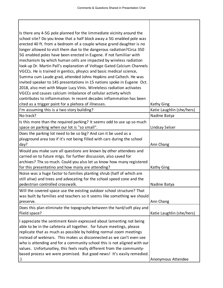Τ

 $\mathbf I$ 

٦

| Is there any 4-5G pole planned for the iimmediate vicinity around the<br>school site? Do you know that a half block away a 5G enabled pole was<br>erected 40 ft. from a bedroom of a couple whose grand daughter is no<br>longer allowed to visit them due to the dangerous radiation? Circa 350<br>5G enabled poles have been erected in Eugene. If not familiiar with<br>mechanism by which human cells are impacted by wireless radiation<br>look up Dr. Martin Pall's explanation of Voltage Gated Calcium Channels<br>VGCCs. He is trained in gentics, phsyics and basic medical science,<br>Summa cum Laude grad, attended Johns Hopkins and Caltech. He was<br>invited speaker to 145 presentations in 15 nations spoke in Eugene Oct.<br>2018, also met with Mayor Lucy VInis. Wireleless radiation activates<br>VGCCs and causes calcium imbalance of cellular activity which<br>contributes to inflammation. In recent decades inflammation has been |                           |
|----------------------------------------------------------------------------------------------------------------------------------------------------------------------------------------------------------------------------------------------------------------------------------------------------------------------------------------------------------------------------------------------------------------------------------------------------------------------------------------------------------------------------------------------------------------------------------------------------------------------------------------------------------------------------------------------------------------------------------------------------------------------------------------------------------------------------------------------------------------------------------------------------------------------------------------------------------------|---------------------------|
| cited as a trigger point for a plehora of illnesses.                                                                                                                                                                                                                                                                                                                                                                                                                                                                                                                                                                                                                                                                                                                                                                                                                                                                                                           | Kathy Ging                |
| I'm assuming this is a two story building?                                                                                                                                                                                                                                                                                                                                                                                                                                                                                                                                                                                                                                                                                                                                                                                                                                                                                                                     | Katie Laughlin (she/hers) |
| No track?                                                                                                                                                                                                                                                                                                                                                                                                                                                                                                                                                                                                                                                                                                                                                                                                                                                                                                                                                      | Nadine Batya              |
| Is this more than the required parking? It seems odd to use up so much<br>space on parking when our lot is "so small".                                                                                                                                                                                                                                                                                                                                                                                                                                                                                                                                                                                                                                                                                                                                                                                                                                         | Lindsay Selser            |
| Does the parking lot need to be so big? And can it be used as a<br>playground area too if it's not being filled with cars during the school<br>day?                                                                                                                                                                                                                                                                                                                                                                                                                                                                                                                                                                                                                                                                                                                                                                                                            | Ann Chang                 |
| Would you make sure all questions are known by other attendees and<br>carried on to future mtgs. for further discussion, also saved for<br>archives? Thx so much. Could you also let us know how many registered<br>for this presentatino and how many are attending?                                                                                                                                                                                                                                                                                                                                                                                                                                                                                                                                                                                                                                                                                          | Kathy Ging                |
| Noise was a huge factor to families planting shrub (half of which are<br>still alive) and trees and advocating for the school speed zone and the<br>pedestrian controlled crosswalk.                                                                                                                                                                                                                                                                                                                                                                                                                                                                                                                                                                                                                                                                                                                                                                           | Nadine Batya              |
| Will the covered space use the existing outdoor school structure? That<br>was built by families and teachers so it seems like something we should<br>preserve.                                                                                                                                                                                                                                                                                                                                                                                                                                                                                                                                                                                                                                                                                                                                                                                                 | Ann Chang                 |
| Does this plan eliminate the topography between the hard/soft play and<br>flield space?                                                                                                                                                                                                                                                                                                                                                                                                                                                                                                                                                                                                                                                                                                                                                                                                                                                                        | Katie Laughlin (she/hers) |
| I appreciate the sentiment Kevin expressed about lamenting not being<br>able to be in the cafeteria all together. for future meetings, please<br>replicate that as much as possible by holding normal zoom meetings<br>instead of webinars. This makes us disconnected as we can't even see<br>who is attending and for a community school this is not aligned with our<br>values. Unfortunatley, this feels really different from the community-<br>based process we were promised. But good news! It's easily remedied.                                                                                                                                                                                                                                                                                                                                                                                                                                      | Anonymous Attendee        |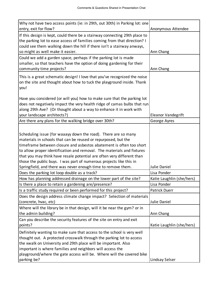| Why not have two access points (ie: in 29th, out 30th) in Parking lot: one                                                                                                                                                                                                                                                                                                                                                         |                           |
|------------------------------------------------------------------------------------------------------------------------------------------------------------------------------------------------------------------------------------------------------------------------------------------------------------------------------------------------------------------------------------------------------------------------------------|---------------------------|
| entry, exit for flow?                                                                                                                                                                                                                                                                                                                                                                                                              | Anonymous Attendee        |
| If this design is kept, could there be a stairway connecting 29th place to<br>the parking lot to ease access of families coming from that direction? I<br>could see them walking down the hill if there isn't a stairway anways,<br>so might as well make it easier.                                                                                                                                                               | Ann Chang                 |
| Could we add a garden space, perhaps if the parking lot is made<br>smaller, so that teachers have the option of doing gardening for their<br>community time projects?                                                                                                                                                                                                                                                              | Ann Chang                 |
| This is a great schematic design! I love that you've recognized the noise<br>on the site and thought about how to tuck the playground inside. Thank<br>you!                                                                                                                                                                                                                                                                        |                           |
| Have you considered (or will you) how to make sure that the parking lot<br>does not negatively impact the very health ridge of camas bulbs that run<br>along 29th Ave? (Or thought about a way to enhance it in work with<br>your landscape architects?)                                                                                                                                                                           | Eleanor Vandegrift        |
| Are there any plans for the walking bridge over 30th?                                                                                                                                                                                                                                                                                                                                                                              | George Ayres              |
| Scheduling issue (for waaayy down the road). There are so many<br>materials in schools that can be reused or repurposed, but the<br>timeframe between closure and asbestos abatement is often too short<br>to allow proper identification and removal. The materials and fixtures<br>that you may think have resale potential are often very different than<br>those the public buys. I was part of numerous projects like this in |                           |
| Springfield, and there was never enough time to remove them.                                                                                                                                                                                                                                                                                                                                                                       | Julie Daniel              |
| Does the parking lot loop double as a track?                                                                                                                                                                                                                                                                                                                                                                                       | Lisa Ponder               |
| How has planning addressed drainage on the lower part of the site?                                                                                                                                                                                                                                                                                                                                                                 | Katie Laughlin (she/hers) |
| Is there a place to retain a gardening are/presence?                                                                                                                                                                                                                                                                                                                                                                               | Lisa Ponder               |
| Is a traffic study required or been performed for this project?                                                                                                                                                                                                                                                                                                                                                                    | <b>Patrick Duerr</b>      |
| Does the design address climate change impact? Selection of materials<br>(concrete, hvac, etc)                                                                                                                                                                                                                                                                                                                                     | Julie Daniel              |
| Where will the library be in that design, will it be near the gym? or in<br>the admin building?                                                                                                                                                                                                                                                                                                                                    | Ann Chang                 |
| Can you describe the security features of the site on entry and exit                                                                                                                                                                                                                                                                                                                                                               |                           |
| points?                                                                                                                                                                                                                                                                                                                                                                                                                            | Katie Laughlin (she/hers) |
| Definitely wanting to make sure that access to the school is very well<br>thought out. A protected crosswalk through the parking lot to access<br>the xwalk on University and 29th place will be important. Also<br>important is where families and neighbors will access the<br>playground/where the gate access will be. Where will the covered bike<br>parking be?                                                              | Lindsay Selser            |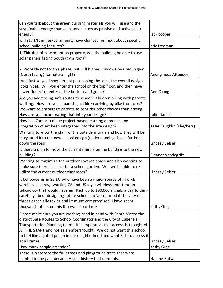| Can you talk about the green building materials you will use and the                                                                                                                                                                                                                                                                                                                                     |                           |
|----------------------------------------------------------------------------------------------------------------------------------------------------------------------------------------------------------------------------------------------------------------------------------------------------------------------------------------------------------------------------------------------------------|---------------------------|
| sustainable energy sources planned, such as passive and active solar                                                                                                                                                                                                                                                                                                                                     |                           |
| energy?                                                                                                                                                                                                                                                                                                                                                                                                  | jack cooper               |
| will staff/families/community have chances for input about specific<br>school building features?                                                                                                                                                                                                                                                                                                         | eric freeman              |
| 1. Thinking of placement on property, will the building be able to use<br>solar panels facing South (gym roof)?                                                                                                                                                                                                                                                                                          |                           |
| 2. Probably not for this phase, but will higher windows be used in gym<br>(North facing) for natural light?                                                                                                                                                                                                                                                                                              | Anonymous Attendee        |
| (And just so you know I'm not poo-pooing the idea, the overall design<br>looks nice). Will you enter the school on the top floor, and then have<br>lower floors? or enter at the bottom and go up?                                                                                                                                                                                                       | Ann Chang                 |
| Are you addressing safe routes to school? Children biking with parents,<br>walking. How are you separating children arriving by bike from cars?<br>We want to encourage parents to consider other choices than driving.<br>How are you incorporating that into your design?                                                                                                                              | Julie Daniel              |
| How has Camas' unique project-based learning approach and<br>integration of art been integrated into the site design?                                                                                                                                                                                                                                                                                    | Katie Laughlin (she/hers) |
| Wanting to know the plan for the outside murals and how they will be<br>integrated into the new school design (understanding this is further<br>down the road).                                                                                                                                                                                                                                          | Lindsay Selser            |
| Is there a plan to move the current murals on the building to the new<br>building?                                                                                                                                                                                                                                                                                                                       | Eleanor Vandegrift        |
| Wanting to maximize the outdoor covered space and also wanting to<br>make sure there is space for a school garden. Will we be able to re-<br>utilize the current outdoor classroom?                                                                                                                                                                                                                      | Lindsay Selser            |
| It behooves us in SE EU who have been a major source of info RE<br>wireless hazards, twarting CA and US style wireless smart meter<br>tehcnoloty that would have emitted up to 190,000 signals a day to think<br>carefully about designing future schools to 'accommodat' the very real<br>threat especially tokids and immune compromised. I have spent<br>thousands of hrs on this If u want to cal me | Kathy Ging                |
| Please make sure you are working hand in hand with Sarah Mazze the<br>district Safe Routes to School Coordinator and the City of Eugene's<br>Transportation Planning team. It is imperative that access is thought of<br>AT THE START and not as an afterthought. We do not want this school<br>to feel like a gated prison in our neighborhood and want kids to access it                               |                           |
| at all times.                                                                                                                                                                                                                                                                                                                                                                                            | Lindsay Selser            |
| How many people attended?                                                                                                                                                                                                                                                                                                                                                                                |                           |
| There is history to the fruit trees and playground trees that were                                                                                                                                                                                                                                                                                                                                       | Kathy Ging                |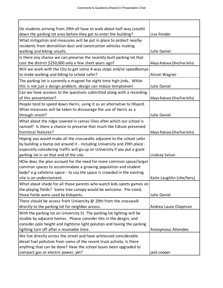| Do students arriving from 29th all have to walk about half-way (south)                                   |                            |
|----------------------------------------------------------------------------------------------------------|----------------------------|
| down the parking lot area before they get to enter the building?                                         | Lisa Ponder                |
| What mitigation and measures will be put in place to protect nearby                                      |                            |
| residents from demolition dust and construction vehicles making                                          |                            |
| walking and biking unsafe.                                                                               | Julie Daniel               |
| Is there any chance we can preserve the recently built parking lot that                                  |                            |
| cost the district \$250,000 only a few short years ago?                                                  | Maya Rabasa (She/her/ella) |
| Will we work with the City to get some 4-way stops and/or speedbumps                                     |                            |
| to make walking and biking to school safer?                                                              | Alison Wagner              |
| The parking lot is currently a magnet for night time high jinks. While                                   |                            |
| this is not just a design problem, design can reduce temptation!                                         | Julie Daniel               |
| Can we have acceess to the questions submitted along with a recording                                    |                            |
| of this presentation?                                                                                    | Maya Rabasa (She/her/ella) |
| People tend to speed down Harris, using it as an alternative to Hilyard.                                 |                            |
| What measures will be taken to discourage the use of Harris as a                                         |                            |
| through street?                                                                                          | Julie Daniel               |
| What about the ridge covered in camas lilies after which our school is                                   |                            |
| named? Is there a chance to preserve that much like Edison preserved                                     |                            |
| histroical features?                                                                                     | Maya Rabasa (She/her/ella) |
| Hoping you would make all the crosswalks adjacent to the school safer                                    |                            |
| by building a bump out around it - including University and 29th place -                                 |                            |
| especially considering traffic will go up on University if you put a giant                               |                            |
| parking lot in on that end of the site.                                                                  | Lindsay Selser             |
| HOw does the plan account for the need for more common space/larger                                      |                            |
| common spaces to accommodate a growing population and student                                            |                            |
| body? e.g cafeteria space - to say the space is crowded in the existing                                  |                            |
| site is an understament.                                                                                 | Katie Laughlin (she/hers)  |
| What about shade for all those parents who watch kids sports games on                                    |                            |
| the playing fields? Some tree canopy would be welcome. Pre-covid,                                        |                            |
| those fields were used by Kidsports.                                                                     | Julie Daniel               |
| There should be access from University $\omega$ 29th from the crosswalk                                  |                            |
| directly to the parking lot for neighbor access.                                                         | Andrea Laura Chapman       |
| With the parking lot on University St. The parking lot lighting will be                                  |                            |
| visable by adjacent homes. Please consider this in the desgin, and                                       |                            |
| consider pole height and nightime light polution and having the parking                                  |                            |
| lighting turn off after a resonable time.                                                                | Anonymous Attendee         |
| We live directly across the street and have witnessed considerable                                       |                            |
| diesel fuel pollution from some of the recent truck activity. Is there                                   |                            |
| anything that can be done? Have the school buses been upgraded to<br>compact gas or electric power, yet? | jack cooper                |
|                                                                                                          |                            |